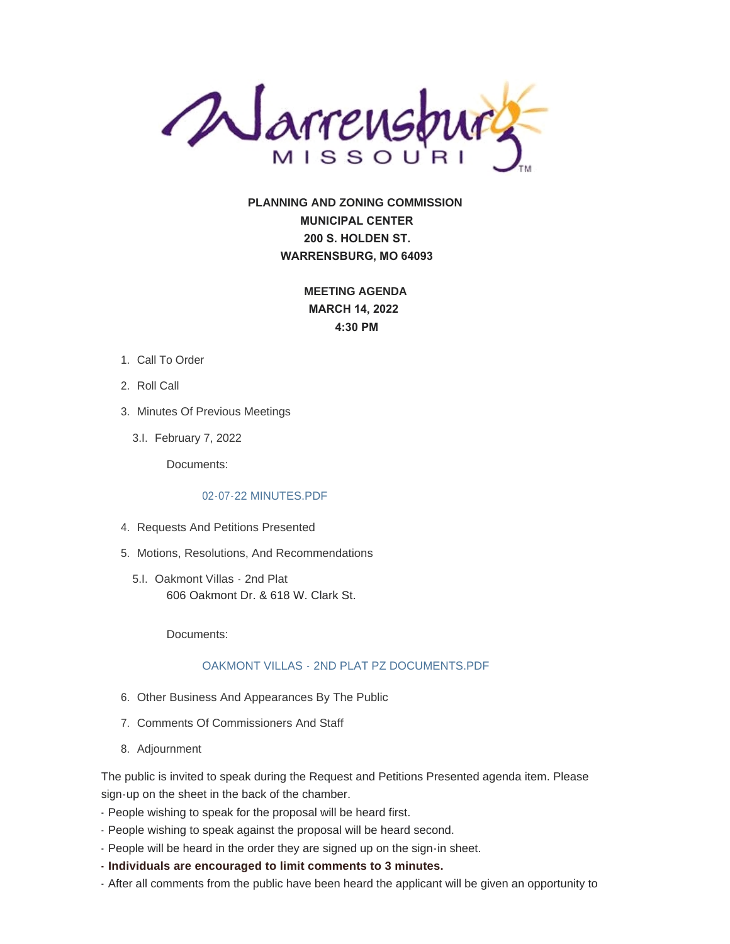

**PLANNING AND ZONING COMMISSION MUNICIPAL CENTER 200 S. HOLDEN ST. WARRENSBURG, MO 64093**

> **MEETING AGENDA MARCH 14, 2022 4:30 PM**

- 1. Call To Order
- 2. Roll Call
- 3. Minutes Of Previous Meetings
	- February 7, 2022 3.I.

Documents:

## [02-07-22 MINUTES.PDF](https://www.warrensburg-mo.com/AgendaCenter/ViewFile/Item/6033?fileID=10828)

- 4. Requests And Petitions Presented
- 5. Motions, Resolutions, And Recommendations
	- 5.I. Oakmont Villas 2nd Plat 606 Oakmont Dr. & 618 W. Clark St.

Documents:

## [OAKMONT VILLAS - 2ND PLAT PZ DOCUMENTS.PDF](https://www.warrensburg-mo.com/AgendaCenter/ViewFile/Item/6035?fileID=10829)

- 6. Other Business And Appearances By The Public
- 7. Comments Of Commissioners And Staff
- 8. Adjournment

The public is invited to speak during the Request and Petitions Presented agenda item. Please sign-up on the sheet in the back of the chamber.

- People wishing to speak for the proposal will be heard first.
- People wishing to speak against the proposal will be heard second.
- People will be heard in the order they are signed up on the sign-in sheet.
- **Individuals are encouraged to limit comments to 3 minutes.**
- After all comments from the public have been heard the applicant will be given an opportunity to